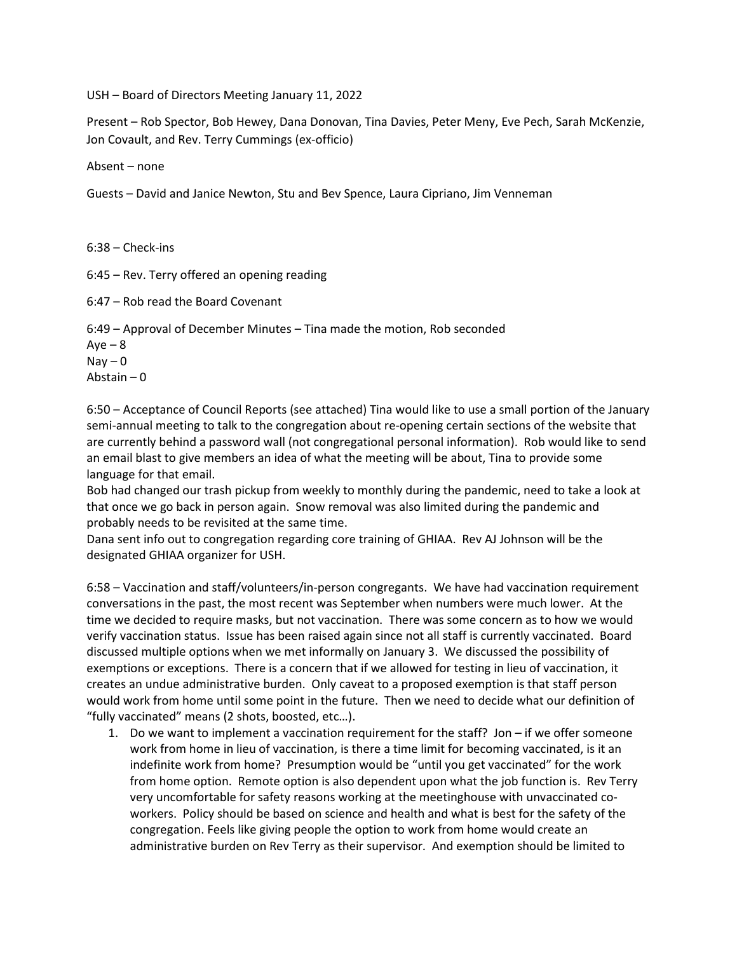USH – Board of Directors Meeting January 11, 2022

Present – Rob Spector, Bob Hewey, Dana Donovan, Tina Davies, Peter Meny, Eve Pech, Sarah McKenzie, Jon Covault, and Rev. Terry Cummings (ex-officio)

Absent – none

Guests – David and Janice Newton, Stu and Bev Spence, Laura Cipriano, Jim Venneman

6:38 – Check-ins

6:45 – Rev. Terry offered an opening reading

6:47 – Rob read the Board Covenant

6:49 – Approval of December Minutes – Tina made the motion, Rob seconded

 $Aye - 8$  $\text{Nav} - \text{O}$ Abstain – 0

6:50 – Acceptance of Council Reports (see attached) Tina would like to use a small portion of the January semi-annual meeting to talk to the congregation about re-opening certain sections of the website that are currently behind a password wall (not congregational personal information). Rob would like to send an email blast to give members an idea of what the meeting will be about, Tina to provide some language for that email.

Bob had changed our trash pickup from weekly to monthly during the pandemic, need to take a look at that once we go back in person again. Snow removal was also limited during the pandemic and probably needs to be revisited at the same time.

Dana sent info out to congregation regarding core training of GHIAA. Rev AJ Johnson will be the designated GHIAA organizer for USH.

6:58 – Vaccination and staff/volunteers/in-person congregants. We have had vaccination requirement conversations in the past, the most recent was September when numbers were much lower. At the time we decided to require masks, but not vaccination. There was some concern as to how we would verify vaccination status. Issue has been raised again since not all staff is currently vaccinated. Board discussed multiple options when we met informally on January 3. We discussed the possibility of exemptions or exceptions. There is a concern that if we allowed for testing in lieu of vaccination, it creates an undue administrative burden. Only caveat to a proposed exemption is that staff person would work from home until some point in the future. Then we need to decide what our definition of "fully vaccinated" means (2 shots, boosted, etc…).

1. Do we want to implement a vaccination requirement for the staff? Jon – if we offer someone work from home in lieu of vaccination, is there a time limit for becoming vaccinated, is it an indefinite work from home? Presumption would be "until you get vaccinated" for the work from home option. Remote option is also dependent upon what the job function is. Rev Terry very uncomfortable for safety reasons working at the meetinghouse with unvaccinated coworkers. Policy should be based on science and health and what is best for the safety of the congregation. Feels like giving people the option to work from home would create an administrative burden on Rev Terry as their supervisor. And exemption should be limited to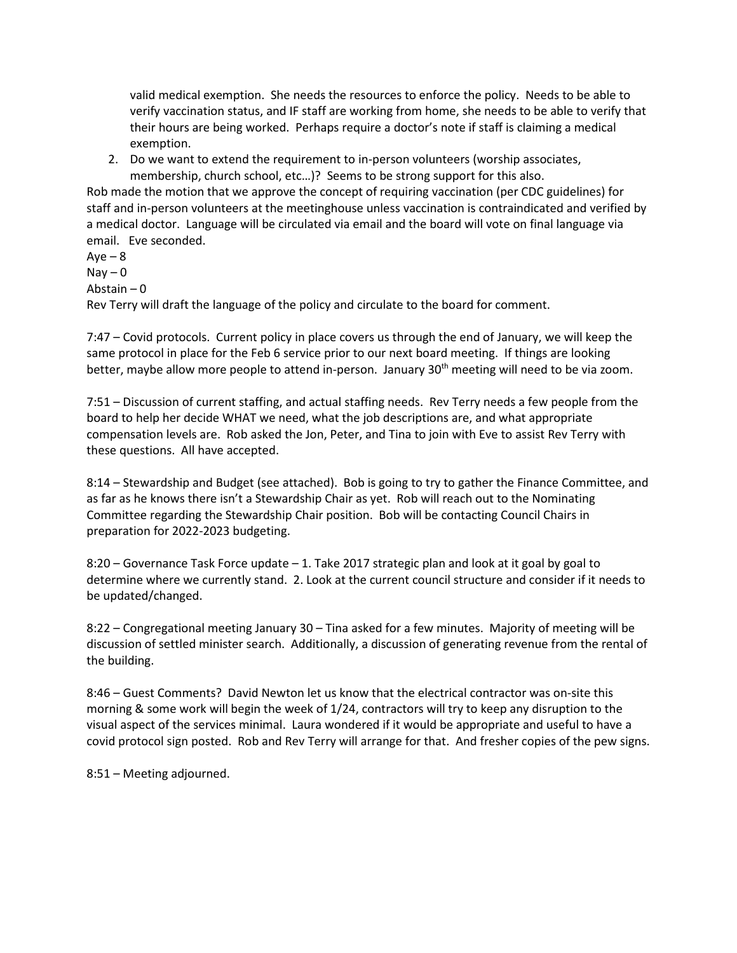valid medical exemption. She needs the resources to enforce the policy. Needs to be able to verify vaccination status, and IF staff are working from home, she needs to be able to verify that their hours are being worked. Perhaps require a doctor's note if staff is claiming a medical exemption.

2. Do we want to extend the requirement to in-person volunteers (worship associates, membership, church school, etc…)? Seems to be strong support for this also.

Rob made the motion that we approve the concept of requiring vaccination (per CDC guidelines) for staff and in-person volunteers at the meetinghouse unless vaccination is contraindicated and verified by a medical doctor. Language will be circulated via email and the board will vote on final language via email. Eve seconded.

 $Aye - 8$  $\text{Nay} - \text{O}$ Abstain – 0 Rev Terry will draft the language of the policy and circulate to the board for comment.

7:47 – Covid protocols. Current policy in place covers us through the end of January, we will keep the same protocol in place for the Feb 6 service prior to our next board meeting. If things are looking better, maybe allow more people to attend in-person. January 30<sup>th</sup> meeting will need to be via zoom.

7:51 – Discussion of current staffing, and actual staffing needs. Rev Terry needs a few people from the board to help her decide WHAT we need, what the job descriptions are, and what appropriate compensation levels are. Rob asked the Jon, Peter, and Tina to join with Eve to assist Rev Terry with these questions. All have accepted.

8:14 – Stewardship and Budget (see attached). Bob is going to try to gather the Finance Committee, and as far as he knows there isn't a Stewardship Chair as yet. Rob will reach out to the Nominating Committee regarding the Stewardship Chair position. Bob will be contacting Council Chairs in preparation for 2022-2023 budgeting.

8:20 – Governance Task Force update – 1. Take 2017 strategic plan and look at it goal by goal to determine where we currently stand. 2. Look at the current council structure and consider if it needs to be updated/changed.

8:22 – Congregational meeting January 30 – Tina asked for a few minutes. Majority of meeting will be discussion of settled minister search. Additionally, a discussion of generating revenue from the rental of the building.

8:46 – Guest Comments? David Newton let us know that the electrical contractor was on-site this morning & some work will begin the week of 1/24, contractors will try to keep any disruption to the visual aspect of the services minimal. Laura wondered if it would be appropriate and useful to have a covid protocol sign posted. Rob and Rev Terry will arrange for that. And fresher copies of the pew signs.

8:51 – Meeting adjourned.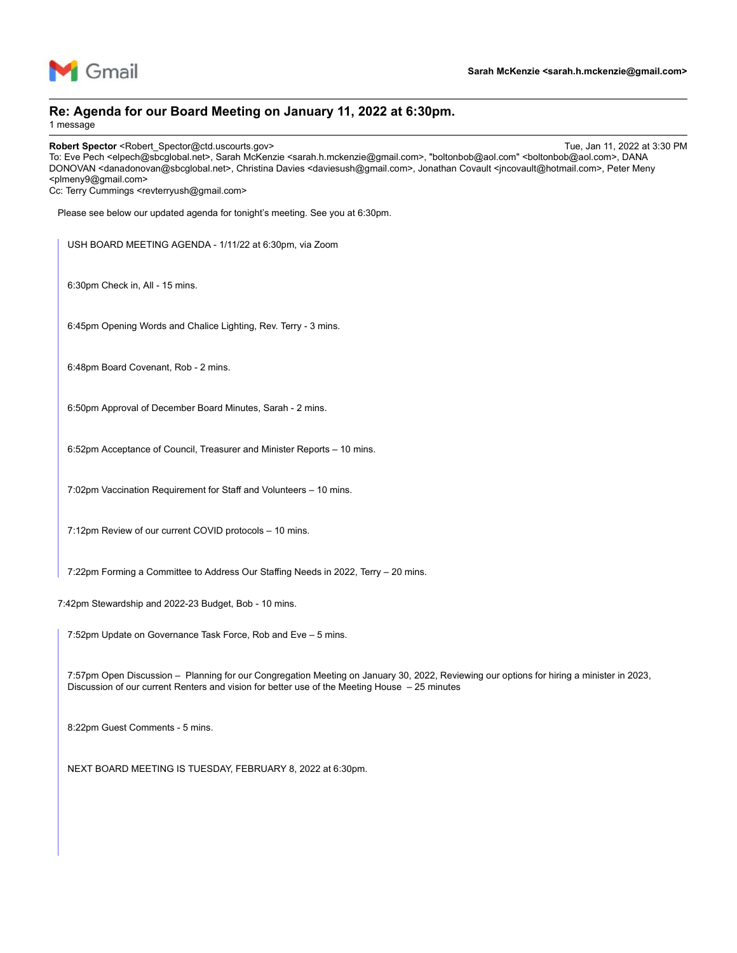

#### **Re: Agenda for our Board Meeting on January 11, 2022 at 6:30pm.**

1 message

**Robert Spector** <Robert\_Spector@ctd.uscourts.gov> Tue, Jan 11, 2022 at 3:30 PM To: Eve Pech <elpech@sbcglobal.net>, Sarah McKenzie <sarah.h.mckenzie@gmail.com>, "boltonbob@aol.com" <boltonbob@aol.com>, DANA DONOVAN <danadonovan@sbcglobal.net>, Christina Davies <daviesush@gmail.com>, Jonathan Covault <jncovault@hotmail.com>, Peter Meny <plmeny9@gmail.com>

Cc: Terry Cummings <revterryush@gmail.com>

Please see below our updated agenda for tonight's meeting. See you at 6:30pm.

USH BOARD MEETING AGENDA - 1/11/22 at 6:30pm, via Zoom

6:30pm Check in, All - 15 mins.

6:45pm Opening Words and Chalice Lighting, Rev. Terry - 3 mins.

6:48pm Board Covenant, Rob - 2 mins.

6:50pm Approval of December Board Minutes, Sarah - 2 mins.

6:52pm Acceptance of Council, Treasurer and Minister Reports – 10 mins.

7:02pm Vaccination Requirement for Staff and Volunteers – 10 mins.

7:12pm Review of our current COVID protocols – 10 mins.

7:22pm Forming a Committee to Address Our Staffing Needs in 2022, Terry – 20 mins.

7:42pm Stewardship and 2022-23 Budget, Bob - 10 mins.

7:52pm Update on Governance Task Force, Rob and Eve – 5 mins.

7:57pm Open Discussion – Planning for our Congregation Meeting on January 30, 2022, Reviewing our options for hiring a minister in 2023, Discussion of our current Renters and vision for better use of the Meeting House – 25 minutes

8:22pm Guest Comments - 5 mins.

NEXT BOARD MEETING IS TUESDAY, FEBRUARY 8, 2022 at 6:30pm.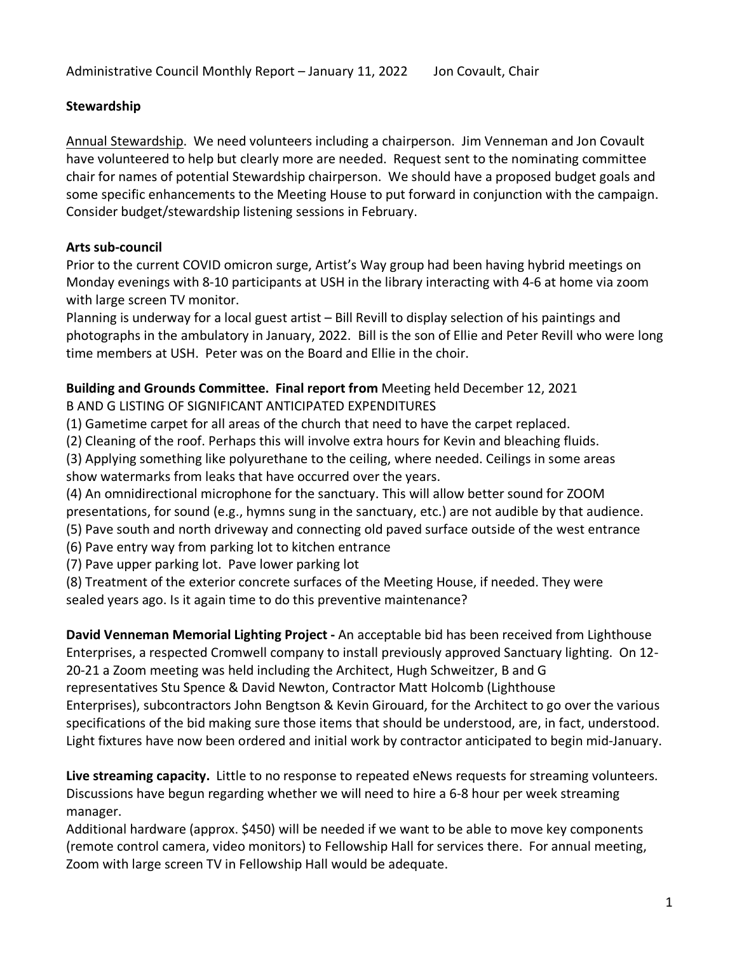### **Stewardship**

Annual Stewardship. We need volunteers including a chairperson. Jim Venneman and Jon Covault have volunteered to help but clearly more are needed. Request sent to the nominating committee chair for names of potential Stewardship chairperson. We should have a proposed budget goals and some specific enhancements to the Meeting House to put forward in conjunction with the campaign. Consider budget/stewardship listening sessions in February.

### **Arts sub-council**

Prior to the current COVID omicron surge, Artist's Way group had been having hybrid meetings on Monday evenings with 8-10 participants at USH in the library interacting with 4-6 at home via zoom with large screen TV monitor.

Planning is underway for a local guest artist – Bill Revill to display selection of his paintings and photographs in the ambulatory in January, 2022. Bill is the son of Ellie and Peter Revill who were long time members at USH. Peter was on the Board and Ellie in the choir.

#### **Building and Grounds Committee. Final report from** Meeting held December 12, 2021 B AND G LISTING OF SIGNIFICANT ANTICIPATED EXPENDITURES

(1) Gametime carpet for all areas of the church that need to have the carpet replaced.

(2) Cleaning of the roof. Perhaps this will involve extra hours for Kevin and bleaching fluids.

(3) Applying something like polyurethane to the ceiling, where needed. Ceilings in some areas show watermarks from leaks that have occurred over the years.

(4) An omnidirectional microphone for the sanctuary. This will allow better sound for ZOOM

presentations, for sound (e.g., hymns sung in the sanctuary, etc.) are not audible by that audience.

(5) Pave south and north driveway and connecting old paved surface outside of the west entrance

(6) Pave entry way from parking lot to kitchen entrance

(7) Pave upper parking lot. Pave lower parking lot

(8) Treatment of the exterior concrete surfaces of the Meeting House, if needed. They were sealed years ago. Is it again time to do this preventive maintenance?

**David Venneman Memorial Lighting Project -** An acceptable bid has been received from Lighthouse Enterprises, a respected Cromwell company to install previously approved Sanctuary lighting. On 12- 20-21 a Zoom meeting was held including the Architect, Hugh Schweitzer, B and G representatives Stu Spence & David Newton, Contractor Matt Holcomb (Lighthouse Enterprises), subcontractors John Bengtson & Kevin Girouard, for the Architect to go over the various specifications of the bid making sure those items that should be understood, are, in fact, understood. Light fixtures have now been ordered and initial work by contractor anticipated to begin mid-January.

**Live streaming capacity.** Little to no response to repeated eNews requests for streaming volunteers. Discussions have begun regarding whether we will need to hire a 6-8 hour per week streaming manager.

Additional hardware (approx. \$450) will be needed if we want to be able to move key components (remote control camera, video monitors) to Fellowship Hall for services there. For annual meeting, Zoom with large screen TV in Fellowship Hall would be adequate.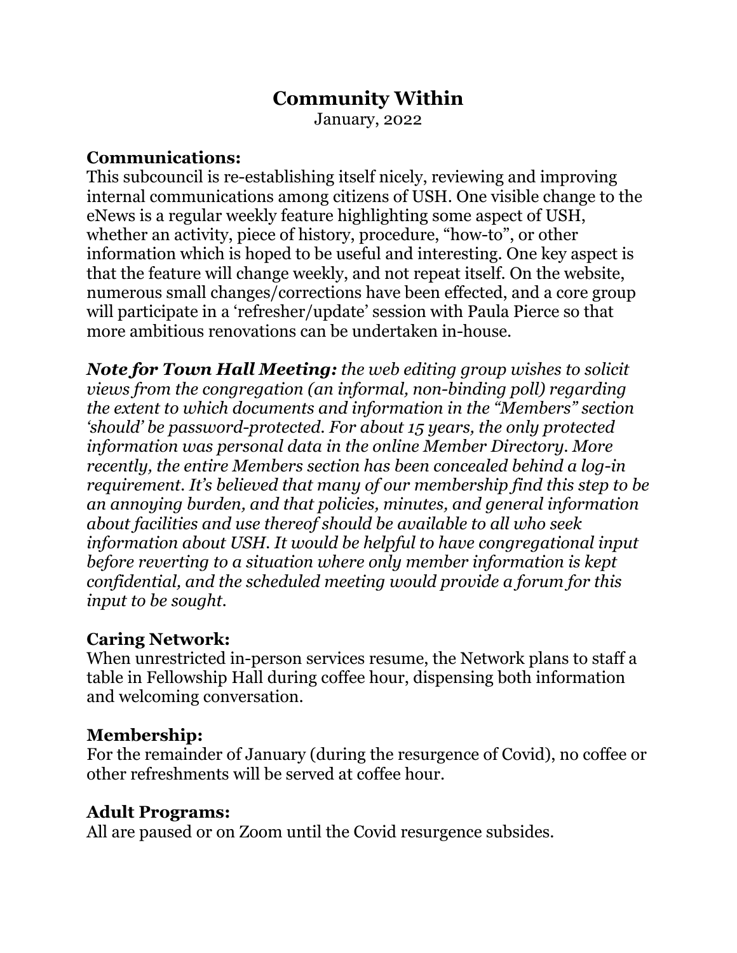# **Community Within**

January, 2022

### **Communications:**

This subcouncil is re-establishing itself nicely, reviewing and improving internal communications among citizens of USH. One visible change to the eNews is a regular weekly feature highlighting some aspect of USH, whether an activity, piece of history, procedure, "how-to", or other information which is hoped to be useful and interesting. One key aspect is that the feature will change weekly, and not repeat itself. On the website, numerous small changes/corrections have been effected, and a core group will participate in a 'refresher/update' session with Paula Pierce so that more ambitious renovations can be undertaken in-house.

*Note for Town Hall Meeting: the web editing group wishes to solicit views from the congregation (an informal, non-binding poll) regarding the extent to which documents and information in the "Members" section 'should' be password-protected. For about 15 years, the only protected information was personal data in the online Member Directory. More recently, the entire Members section has been concealed behind a log-in requirement. It's believed that many of our membership find this step to be an annoying burden, and that policies, minutes, and general information about facilities and use thereof should be available to all who seek information about USH. It would be helpful to have congregational input before reverting to a situation where only member information is kept confidential, and the scheduled meeting would provide a forum for this input to be sought.*

# **Caring Network:**

When unrestricted in-person services resume, the Network plans to staff a table in Fellowship Hall during coffee hour, dispensing both information and welcoming conversation.

# **Membership:**

For the remainder of January (during the resurgence of Covid), no coffee or other refreshments will be served at coffee hour.

# **Adult Programs:**

All are paused or on Zoom until the Covid resurgence subsides.